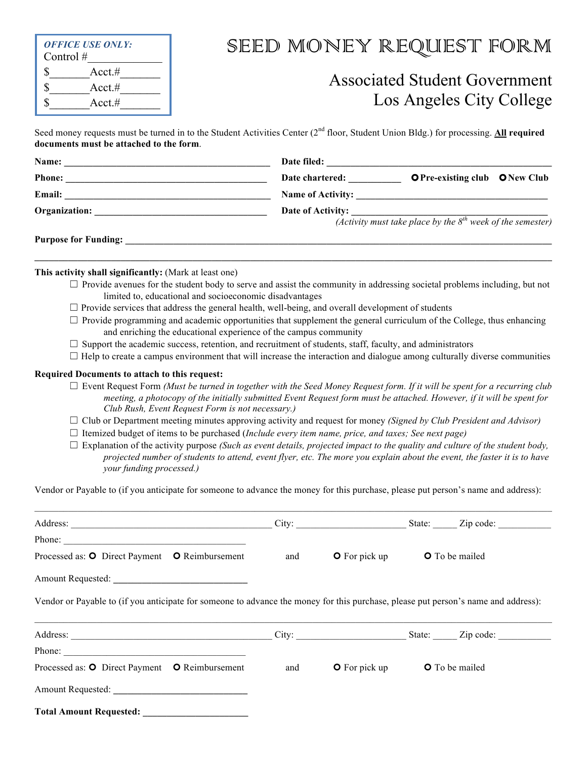| Control $#$ | <b>OFFICE USE ONLY:</b> |  |
|-------------|-------------------------|--|
| S           | $Acct. \#$              |  |
|             | $Acct. \#$              |  |
|             | $Acct$ .#               |  |

# SEED MONEY REQUEST FORM

## Associated Student Government Los Angeles City College

Seed money requests must be turned in to the Student Activities Center (2<sup>nd</sup> floor, Student Union Bldg.) for processing. **All required documents must be attached to the form**.

| Name:                       | Date filed:       |                                                                                |  |
|-----------------------------|-------------------|--------------------------------------------------------------------------------|--|
| <b>Phone:</b>               | Date chartered:   | <b>OPre-existing club ONew Club</b>                                            |  |
| <b>Email:</b>               |                   |                                                                                |  |
| Organization:               | Date of Activity: |                                                                                |  |
|                             |                   | $\frac{d}{dx}$ (Activity must take place by the $8^{th}$ week of the semester) |  |
| <b>Purpose for Funding:</b> |                   |                                                                                |  |
|                             |                   |                                                                                |  |

#### **This activity shall significantly:** (Mark at least one)

- $\Box$  Provide avenues for the student body to serve and assist the community in addressing societal problems including, but not limited to, educational and socioeconomic disadvantages
- $\Box$  Provide services that address the general health, well-being, and overall development of students
- $\Box$  Provide programming and academic opportunities that supplement the general curriculum of the College, thus enhancing and enriching the educational experience of the campus community
- $\Box$  Support the academic success, retention, and recruitment of students, staff, faculty, and administrators
- $\Box$  Help to create a campus environment that will increase the interaction and dialogue among culturally diverse communities

#### **Required Documents to attach to this request:**

- ܆ Event Request Form *(Must be turned in together with the Seed Money Request form. If it will be spent for a recurring club meeting, a photocopy of the initially submitted Event Request form must be attached. However, if it will be spent for Club Rush, Event Request Form is not necessary.)*
- ܆ Club or Department meeting minutes approving activity and request for money *(Signed by Club President and Advisor)*
- ܆ Itemized budget of items to be purchased (*Include every item name, price, and taxes; See next page)*
- ܆ Explanation of the activity purpose *(Such as event details, projected impact to the quality and culture of the student body, projected number of students to attend, event flyer, etc. The more you explain about the event, the faster it is to have your funding processed.)*

Vendor or Payable to (if you anticipate for someone to advance the money for this purchase, please put person's name and address):

|                                                                                                                                    |     | City: State: Zip code:                                                                                                                                                                                                        |                       |
|------------------------------------------------------------------------------------------------------------------------------------|-----|-------------------------------------------------------------------------------------------------------------------------------------------------------------------------------------------------------------------------------|-----------------------|
|                                                                                                                                    |     |                                                                                                                                                                                                                               |                       |
| Processed as: O Direct Payment O Reimbursement                                                                                     | and | $\bullet$ For pick up                                                                                                                                                                                                         | <b>O</b> To be mailed |
|                                                                                                                                    |     |                                                                                                                                                                                                                               |                       |
| Vendor or Payable to (if you anticipate for someone to advance the money for this purchase, please put person's name and address): |     |                                                                                                                                                                                                                               |                       |
|                                                                                                                                    |     | City: City: City: City: City: City: City: City: City: City: City: City: City: City: City: City: City: City: City: City: City: City: City: City: City: City: City: City: City: City: City: City: City: City: City: City: City: |                       |
|                                                                                                                                    |     |                                                                                                                                                                                                                               |                       |
| Processed as: O Direct Payment O Reimbursement                                                                                     | and | $\bullet$ For pick up                                                                                                                                                                                                         | <b>O</b> To be mailed |
|                                                                                                                                    |     |                                                                                                                                                                                                                               |                       |